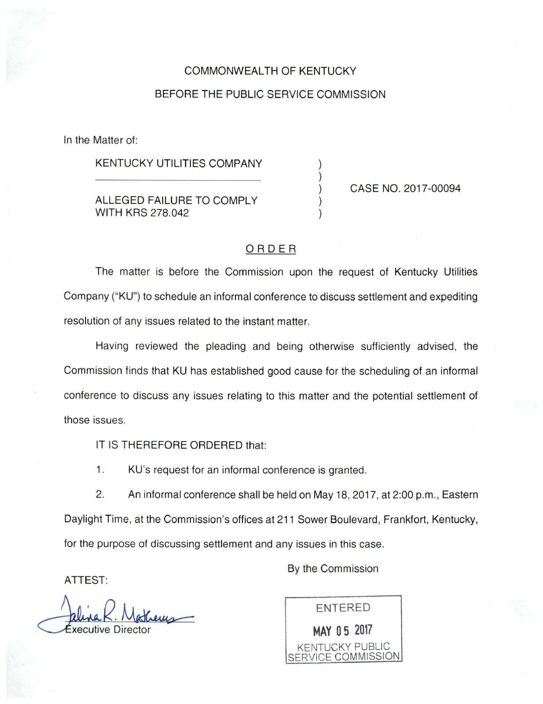## COMMONWEALTH OF KENTUCKY

## BEFORE THE PUBLIC SERVICE COMMISSION

In the Matter of:

KENTUCKY UTILITIES COMPANY

## ALLEGED FAILURE TO COMPLY WITH KRS 278.042

CASE NO. 2017-00094

## ORDER

The matter is before the Commission upon the request of Kentucky Utilities Company ("KU") to schedule an informal conference to discuss settlement and expediting resolution of any issues related to the instant matter.

Having reviewed the pleading and being otherwise sufficiently advised, the Commission finds that KU has established good cause for the scheduling of an informal conference to discuss any issues relating to this matter and the potential settlement of those issues.

IT IS THEREFORE ORDERED that:

1. KU's request for an informal conference is granted.

2. An informal conference shall be held on May 18, 2017, at 2:00 p.m., Eastern Daylight Time, at the Commission's offices at 211 Sower Boulevard, Frankfort, Kentucky, for the purpose of discussing settlement and any issues in this case.

ATTEST:

recutive Dire Mathems<br>irector

By the Commission